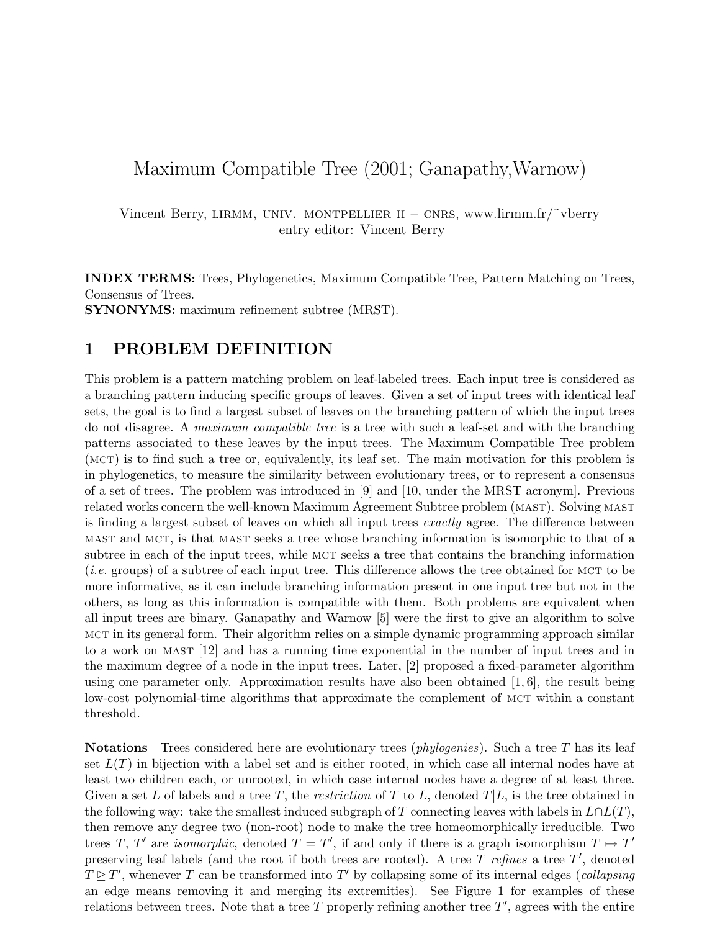# Maximum Compatible Tree (2001; Ganapathy,Warnow)

Vincent Berry, LIRMM, UNIV. MONTPELLIER II – CNRS, www.lirmm.fr/ $\tilde{\text{v}}$ berry entry editor: Vincent Berry

INDEX TERMS: Trees, Phylogenetics, Maximum Compatible Tree, Pattern Matching on Trees, Consensus of Trees.

SYNONYMS: maximum refinement subtree (MRST).

## 1 PROBLEM DEFINITION

This problem is a pattern matching problem on leaf-labeled trees. Each input tree is considered as a branching pattern inducing specific groups of leaves. Given a set of input trees with identical leaf sets, the goal is to find a largest subset of leaves on the branching pattern of which the input trees do not disagree. A maximum compatible tree is a tree with such a leaf-set and with the branching patterns associated to these leaves by the input trees. The Maximum Compatible Tree problem (mct) is to find such a tree or, equivalently, its leaf set. The main motivation for this problem is in phylogenetics, to measure the similarity between evolutionary trees, or to represent a consensus of a set of trees. The problem was introduced in [9] and [10, under the MRST acronym]. Previous related works concern the well-known Maximum Agreement Subtree problem (MAST). Solving MAST is finding a largest subset of leaves on which all input trees *exactly* agree. The difference between mast and mct, is that mast seeks a tree whose branching information is isomorphic to that of a subtree in each of the input trees, while MCT seeks a tree that contains the branching information (*i.e.* groups) of a subtree of each input tree. This difference allows the tree obtained for MCT to be more informative, as it can include branching information present in one input tree but not in the others, as long as this information is compatible with them. Both problems are equivalent when all input trees are binary. Ganapathy and Warnow [5] were the first to give an algorithm to solve mct in its general form. Their algorithm relies on a simple dynamic programming approach similar to a work on mast [12] and has a running time exponential in the number of input trees and in the maximum degree of a node in the input trees. Later, [2] proposed a fixed-parameter algorithm using one parameter only. Approximation results have also been obtained [1, 6], the result being low-cost polynomial-time algorithms that approximate the complement of MCT within a constant threshold.

**Notations** Trees considered here are evolutionary trees (*phylogenies*). Such a tree T has its leaf set  $L(T)$  in bijection with a label set and is either rooted, in which case all internal nodes have at least two children each, or unrooted, in which case internal nodes have a degree of at least three. Given a set L of labels and a tree T, the restriction of T to L, denoted  $T|L$ , is the tree obtained in the following way: take the smallest induced subgraph of T connecting leaves with labels in  $L \cap L(T)$ , then remove any degree two (non-root) node to make the tree homeomorphically irreducible. Two trees T, T' are *isomorphic*, denoted  $T = T'$ , if and only if there is a graph isomorphism  $T \mapsto T'$ preserving leaf labels (and the root if both trees are rooted). A tree  $\overline{T}$  refines a tree  $T'$ , denoted  $T \trianglerighteq T'$ , whenever T can be transformed into T' by collapsing some of its internal edges (collapsing an edge means removing it and merging its extremities). See Figure 1 for examples of these relations between trees. Note that a tree  $T$  properly refining another tree  $T'$ , agrees with the entire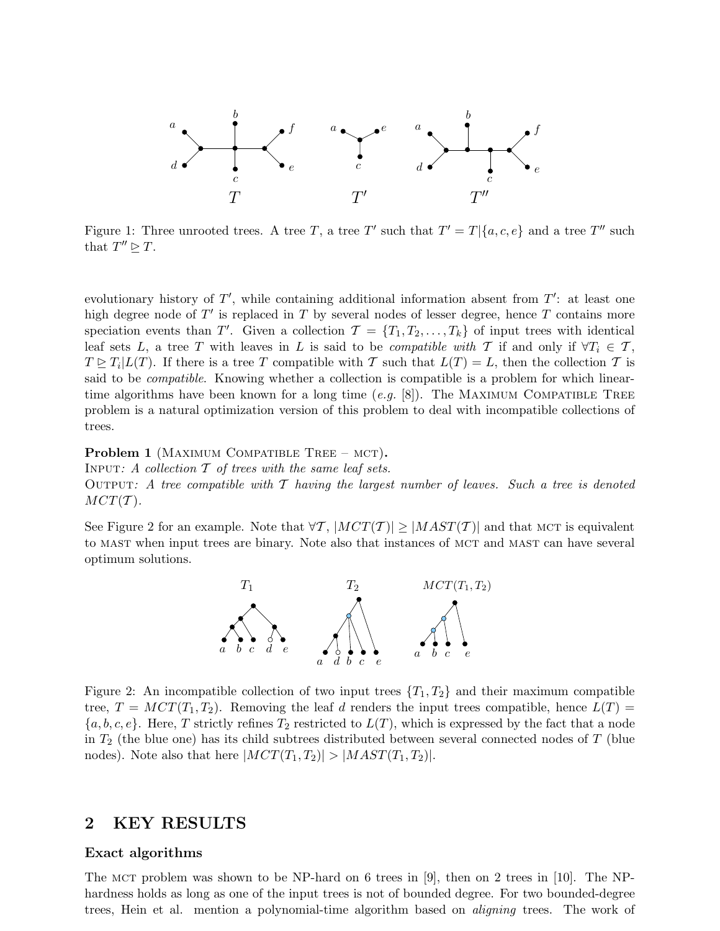

Figure 1: Three unrooted trees. A tree T, a tree T' such that  $T' = T | \{a, c, e\} \rangle$  and a tree T'' such that  $T'' \trianglerighteq T$ .

evolutionary history of  $T'$ , while containing additional information absent from  $T'$ : at least one high degree node of  $T'$  is replaced in  $T$  by several nodes of lesser degree, hence  $T$  contains more speciation events than T'. Given a collection  $\mathcal{T} = \{T_1, T_2, \ldots, T_k\}$  of input trees with identical leaf sets L, a tree T with leaves in L is said to be *compatible with* T if and only if  $\forall T_i \in T$ ,  $T \trianglerighteq T_i | L(T)$ . If there is a tree T compatible with T such that  $L(T) = L$ , then the collection T is said to be *compatible*. Knowing whether a collection is compatible is a problem for which lineartime algorithms have been known for a long time  $(e.g. [8])$ . The MAXIMUM COMPATIBLE TREE problem is a natural optimization version of this problem to deal with incompatible collections of trees.

Problem 1 (MAXIMUM COMPATIBLE TREE – MCT). INPUT: A collection  $\mathcal T$  of trees with the same leaf sets. OUTPUT: A tree compatible with  $T$  having the largest number of leaves. Such a tree is denoted  $MCT(\mathcal{T}).$ 

See Figure 2 for an example. Note that  $\forall \mathcal{T}, |MCT(\mathcal{T})| \geq |MAST(\mathcal{T})|$  and that MCT is equivalent to MAST when input trees are binary. Note also that instances of MCT and MAST can have several optimum solutions.



Figure 2: An incompatible collection of two input trees  $\{T_1, T_2\}$  and their maximum compatible tree,  $T = MCT(T_1, T_2)$ . Removing the leaf d renders the input trees compatible, hence  $L(T)$  ${a,b,c,e}.$  Here, T strictly refines  $T_2$  restricted to  $L(T)$ , which is expressed by the fact that a node in  $T_2$  (the blue one) has its child subtrees distributed between several connected nodes of T (blue nodes). Note also that here  $|MCT(T_1,T_2)| > |MAST(T_1,T_2)|$ .

### 2 KEY RESULTS

### Exact algorithms

The MCT problem was shown to be NP-hard on 6 trees in [9], then on 2 trees in [10]. The NPhardness holds as long as one of the input trees is not of bounded degree. For two bounded-degree trees, Hein et al. mention a polynomial-time algorithm based on aligning trees. The work of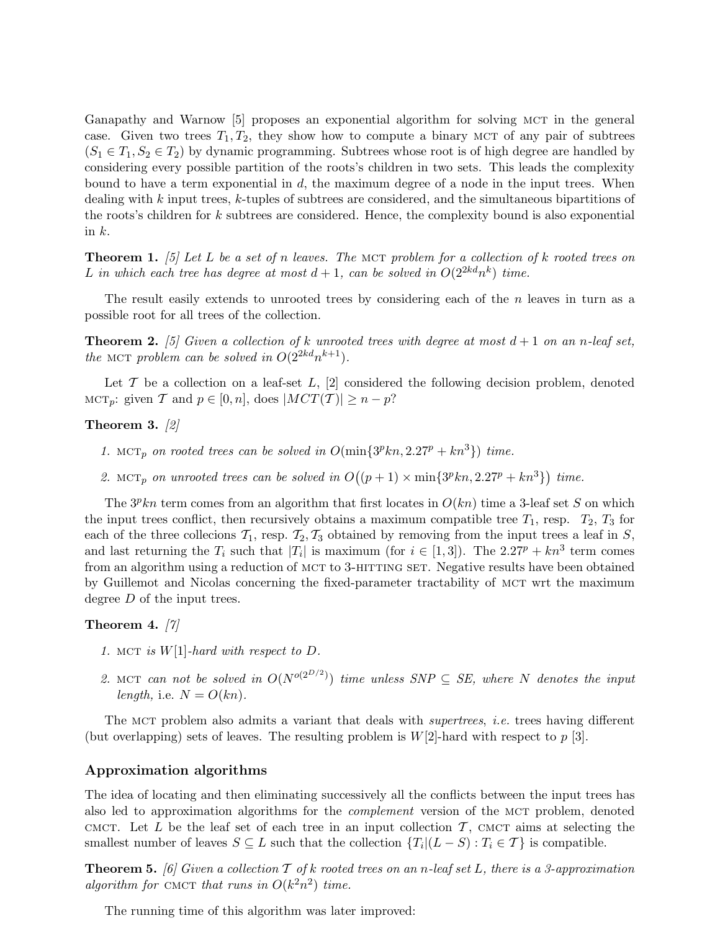Ganapathy and Warnow [5] proposes an exponential algorithm for solving MCT in the general case. Given two trees  $T_1, T_2$ , they show how to compute a binary MCT of any pair of subtrees  $(S_1 \in T_1, S_2 \in T_2)$  by dynamic programming. Subtrees whose root is of high degree are handled by considering every possible partition of the roots's children in two sets. This leads the complexity bound to have a term exponential in  $d$ , the maximum degree of a node in the input trees. When dealing with k input trees, k-tuples of subtrees are considered, and the simultaneous bipartitions of the roots's children for k subtrees are considered. Hence, the complexity bound is also exponential in k.

**Theorem 1.** [5] Let L be a set of n leaves. The MCT problem for a collection of k rooted trees on L in which each tree has degree at most  $d+1$ , can be solved in  $O(2^{2kd} n^k)$  time.

The result easily extends to unrooted trees by considering each of the  $n$  leaves in turn as a possible root for all trees of the collection.

**Theorem 2.** [5] Given a collection of k unrooted trees with degree at most  $d + 1$  on an n-leaf set, the MCT problem can be solved in  $O(2^{2kd}n^{k+1})$ .

Let  $\mathcal T$  be a collection on a leaf-set L, [2] considered the following decision problem, denoted MCT<sub>p</sub>: given T and  $p \in [0, n]$ , does  $|MCT(T)| \ge n - p$ ?

### Theorem 3. [2]

- 1. MCT<sub>p</sub> on rooted trees can be solved in  $O(\min\{3^p k n, 2.27^p + k n^3\})$  time.
- 2. MCT<sub>p</sub> on unrooted trees can be solved in  $O((p+1) \times min\{3^p k n, 2.27^p + k n^3\})$  time.

The  $3^p k n$  term comes from an algorithm that first locates in  $O(kn)$  time a 3-leaf set S on which the input trees conflict, then recursively obtains a maximum compatible tree  $T_1$ , resp.  $T_2$ ,  $T_3$  for each of the three collecions  $\mathcal{T}_1$ , resp.  $\mathcal{T}_2$ ,  $\mathcal{T}_3$  obtained by removing from the input trees a leaf in S, and last returning the  $T_i$  such that  $|T_i|$  is maximum (for  $i \in [1,3]$ ). The  $2.27^p + kn^3$  term comes from an algorithm using a reduction of MCT to 3-HITTING SET. Negative results have been obtained by Guillemot and Nicolas concerning the fixed-parameter tractability of MCT wrt the maximum degree D of the input trees.

#### Theorem 4.  $|7|$

- 1. MCT is  $W[1]$ -hard with respect to D.
- 2. MCT can not be solved in  $O(N^{o(2^{D/2})})$  time unless SNP  $\subseteq$  SE, where N denotes the input length, i.e.  $N = O(kn)$ .

The MCT problem also admits a variant that deals with *supertrees*, *i.e.* trees having different (but overlapping) sets of leaves. The resulting problem is  $W[2]$ -hard with respect to p [3].

#### Approximation algorithms

The idea of locating and then eliminating successively all the conflicts between the input trees has also led to approximation algorithms for the *complement* version of the MCT problem, denoted CMCT. Let L be the leaf set of each tree in an input collection  $\mathcal{T}$ , CMCT aims at selecting the smallest number of leaves  $S \subseteq L$  such that the collection  $\{T_i | (L - S) : T_i \in T\}$  is compatible.

**Theorem 5.** [6] Given a collection T of k rooted trees on an n-leaf set L, there is a 3-approximation algorithm for CMCT that runs in  $O(k^2n^2)$  time.

The running time of this algorithm was later improved: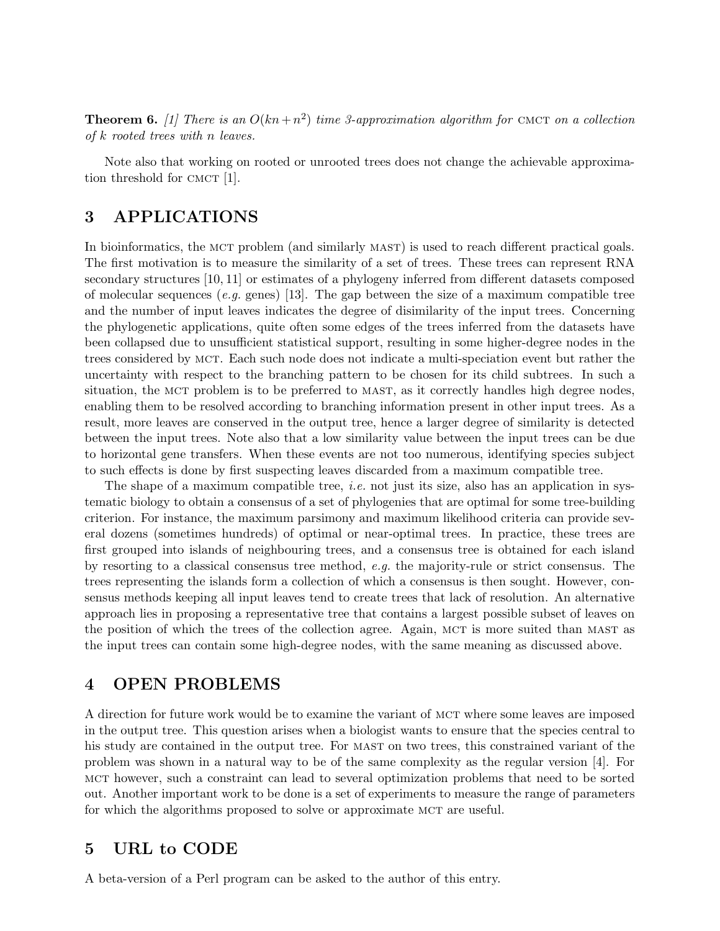**Theorem 6.** [1] There is an  $O(kn+n^2)$  time 3-approximation algorithm for CMCT on a collection of k rooted trees with n leaves.

Note also that working on rooted or unrooted trees does not change the achievable approximation threshold for CMCT  $[1]$ .

## 3 APPLICATIONS

In bioinformatics, the MCT problem (and similarly MAST) is used to reach different practical goals. The first motivation is to measure the similarity of a set of trees. These trees can represent RNA secondary structures [10, 11] or estimates of a phylogeny inferred from different datasets composed of molecular sequences (e.g. genes) [13]. The gap between the size of a maximum compatible tree and the number of input leaves indicates the degree of disimilarity of the input trees. Concerning the phylogenetic applications, quite often some edges of the trees inferred from the datasets have been collapsed due to unsufficient statistical support, resulting in some higher-degree nodes in the trees considered by mct. Each such node does not indicate a multi-speciation event but rather the uncertainty with respect to the branching pattern to be chosen for its child subtrees. In such a situation, the mct problem is to be preferred to mast, as it correctly handles high degree nodes, enabling them to be resolved according to branching information present in other input trees. As a result, more leaves are conserved in the output tree, hence a larger degree of similarity is detected between the input trees. Note also that a low similarity value between the input trees can be due to horizontal gene transfers. When these events are not too numerous, identifying species subject to such effects is done by first suspecting leaves discarded from a maximum compatible tree.

The shape of a maximum compatible tree, *i.e.* not just its size, also has an application in systematic biology to obtain a consensus of a set of phylogenies that are optimal for some tree-building criterion. For instance, the maximum parsimony and maximum likelihood criteria can provide several dozens (sometimes hundreds) of optimal or near-optimal trees. In practice, these trees are first grouped into islands of neighbouring trees, and a consensus tree is obtained for each island by resorting to a classical consensus tree method, e.g. the majority-rule or strict consensus. The trees representing the islands form a collection of which a consensus is then sought. However, consensus methods keeping all input leaves tend to create trees that lack of resolution. An alternative approach lies in proposing a representative tree that contains a largest possible subset of leaves on the position of which the trees of the collection agree. Again, MCT is more suited than MAST as the input trees can contain some high-degree nodes, with the same meaning as discussed above.

### 4 OPEN PROBLEMS

A direction for future work would be to examine the variant of MCT where some leaves are imposed in the output tree. This question arises when a biologist wants to ensure that the species central to his study are contained in the output tree. For MAST on two trees, this constrained variant of the problem was shown in a natural way to be of the same complexity as the regular version [4]. For mct however, such a constraint can lead to several optimization problems that need to be sorted out. Another important work to be done is a set of experiments to measure the range of parameters for which the algorithms proposed to solve or approximate MCT are useful.

# 5 URL to CODE

A beta-version of a Perl program can be asked to the author of this entry.